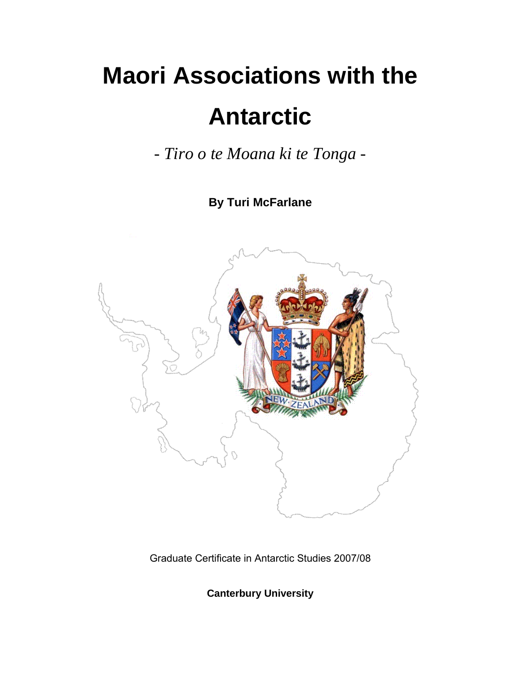# **Maori Associations with the Antarctic**

*- Tiro o te Moana ki te Tonga -* 

**By Turi McFarlane** 



Graduate Certificate in Antarctic Studies 2007/08

**Canterbury University**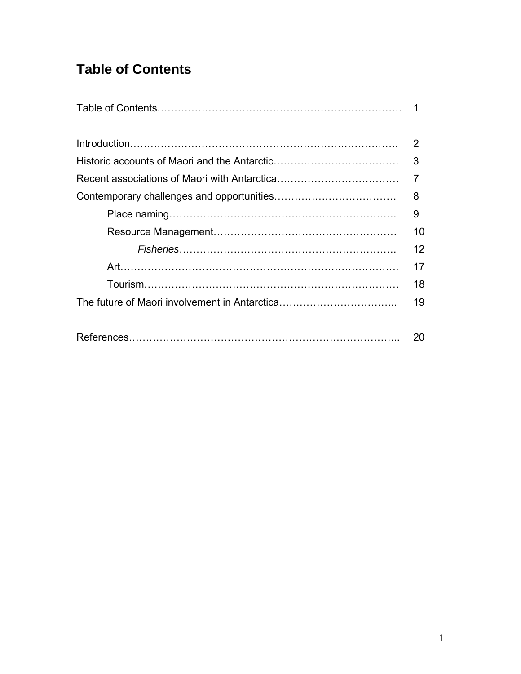# **Table of Contents**

| 2  |
|----|
| 3  |
|    |
| 8  |
| 9  |
| 10 |
| 12 |
| 17 |
| 18 |
| 19 |
| 20 |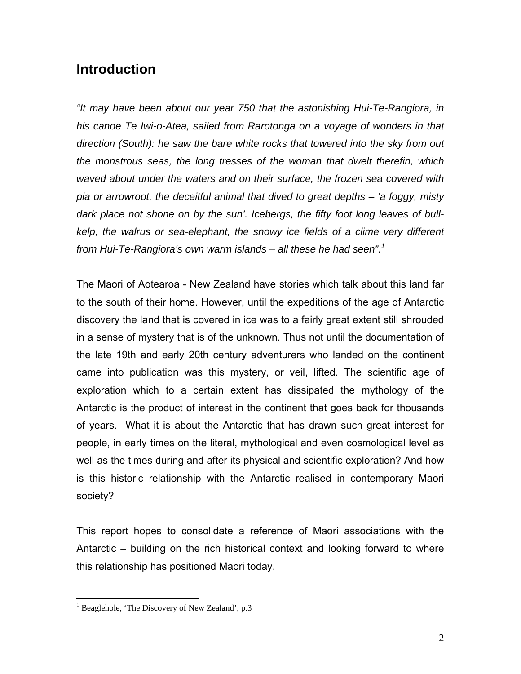## **Introduction**

*"It may have been about our year 750 that the astonishing Hui-Te-Rangiora, in his canoe Te Iwi-o-Atea, sailed from Rarotonga on a voyage of wonders in that direction (South): he saw the bare white rocks that towered into the sky from out the monstrous seas, the long tresses of the woman that dwelt therefin, which waved about under the waters and on their surface, the frozen sea covered with pia or arrowroot, the deceitful animal that dived to great depths – 'a foggy, misty dark place not shone on by the sun'. Icebergs, the fifty foot long leaves of bullkelp, the walrus or sea-elephant, the snowy ice fields of a clime very different from Hui-Te-Rangiora's own warm islands – all these he had seen".<sup>1</sup>*

The Maori of Aotearoa - New Zealand have stories which talk about this land far to the south of their home. However, until the expeditions of the age of Antarctic discovery the land that is covered in ice was to a fairly great extent still shrouded in a sense of mystery that is of the unknown. Thus not until the documentation of the late 19th and early 20th century adventurers who landed on the continent came into publication was this mystery, or veil, lifted. The scientific age of exploration which to a certain extent has dissipated the mythology of the Antarctic is the product of interest in the continent that goes back for thousands of years. What it is about the Antarctic that has drawn such great interest for people, in early times on the literal, mythological and even cosmological level as well as the times during and after its physical and scientific exploration? And how is this historic relationship with the Antarctic realised in contemporary Maori society?

This report hopes to consolidate a reference of Maori associations with the Antarctic – building on the rich historical context and looking forward to where this relationship has positioned Maori today.

 $\overline{a}$ 

<sup>&</sup>lt;sup>1</sup> Beaglehole, 'The Discovery of New Zealand', p.3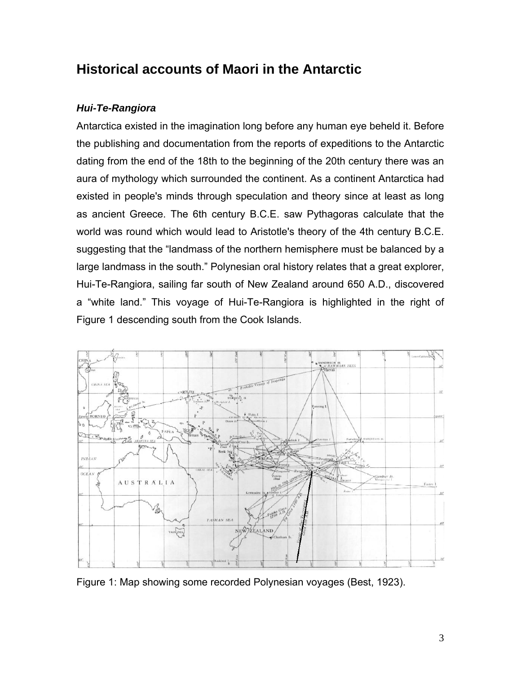## **Historical accounts of Maori in the Antarctic**

## *Hui-Te-Rangiora*

Antarctica existed in the imagination long before any human eye beheld it. Before the publishing and documentation from the reports of expeditions to the Antarctic dating from the end of the 18th to the beginning of the 20th century there was an aura of mythology which surrounded the continent. As a continent Antarctica had existed in people's minds through speculation and theory since at least as long as ancient Greece. The 6th century B.C.E. saw Pythagoras calculate that the world was round which would lead to Aristotle's theory of the 4th century B.C.E. suggesting that the "landmass of the northern hemisphere must be balanced by a large landmass in the south." Polynesian oral history relates that a great explorer, Hui-Te-Rangiora, sailing far south of New Zealand around 650 A.D., discovered a "white land." This voyage of Hui-Te-Rangiora is highlighted in the right of Figure 1 descending south from the Cook Islands.



Figure 1: Map showing some recorded Polynesian voyages (Best, 1923).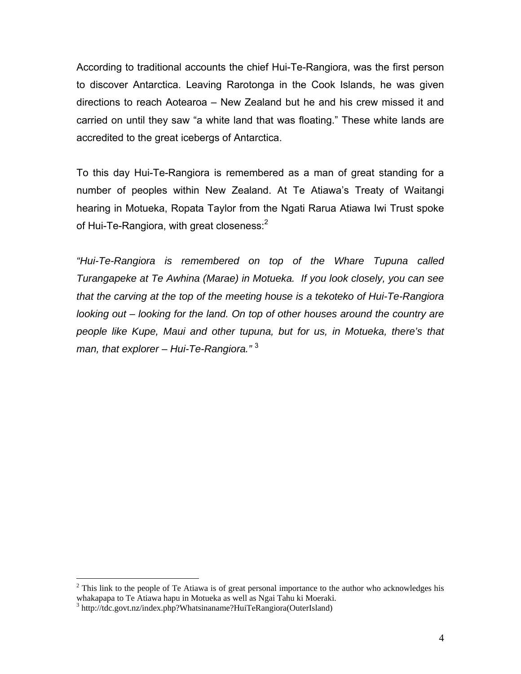According to traditional accounts the chief Hui-Te-Rangiora, was the first person to discover Antarctica. Leaving Rarotonga in the Cook Islands, he was given directions to reach Aotearoa – New Zealand but he and his crew missed it and carried on until they saw "a white land that was floating." These white lands are accredited to the great icebergs of Antarctica.

To this day Hui-Te-Rangiora is remembered as a man of great standing for a number of peoples within New Zealand. At Te Atiawa's Treaty of Waitangi hearing in Motueka, Ropata Taylor from the Ngati Rarua Atiawa Iwi Trust spoke of Hui-Te-Rangiora, with great closeness:<sup>2</sup>

*"Hui-Te-Rangiora is remembered on top of the Whare Tupuna called Turangapeke at Te Awhina (Marae) in Motueka. If you look closely, you can see that the carving at the top of the meeting house is a tekoteko of Hui-Te-Rangiora looking out – looking for the land. On top of other houses around the country are people like Kupe, Maui and other tupuna, but for us, in Motueka, there's that man, that explorer – Hui-Te-Rangiora."* <sup>3</sup>

 $\overline{a}$ 

 $2$  This link to the people of Te Atiawa is of great personal importance to the author who acknowledges his whakapapa to Te Atiawa hapu in Motueka as well as Ngai Tahu ki Moeraki. <sup>3</sup>

<sup>&</sup>lt;sup>3</sup> http://tdc.govt.nz/index.php?Whatsinaname?HuiTeRangiora(OuterIsland)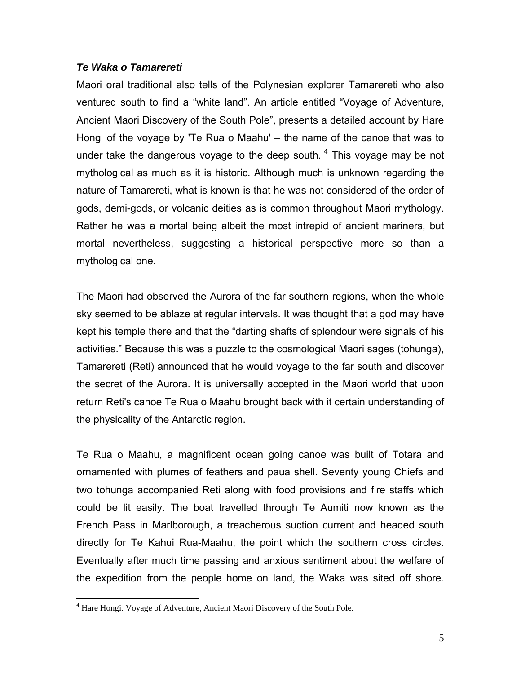#### *Te Waka o Tamarereti*

Maori oral traditional also tells of the Polynesian explorer Tamarereti who also ventured south to find a "white land". An article entitled "Voyage of Adventure, Ancient Maori Discovery of the South Pole", presents a detailed account by Hare Hongi of the voyage by 'Te Rua o Maahu' – the name of the canoe that was to under take the dangerous voyage to the deep south.  $4$  This voyage may be not mythological as much as it is historic. Although much is unknown regarding the nature of Tamarereti, what is known is that he was not considered of the order of gods, demi-gods, or volcanic deities as is common throughout Maori mythology. Rather he was a mortal being albeit the most intrepid of ancient mariners, but mortal nevertheless, suggesting a historical perspective more so than a mythological one.

The Maori had observed the Aurora of the far southern regions, when the whole sky seemed to be ablaze at regular intervals. It was thought that a god may have kept his temple there and that the "darting shafts of splendour were signals of his activities." Because this was a puzzle to the cosmological Maori sages (tohunga), Tamarereti (Reti) announced that he would voyage to the far south and discover the secret of the Aurora. It is universally accepted in the Maori world that upon return Reti's canoe Te Rua o Maahu brought back with it certain understanding of the physicality of the Antarctic region.

Te Rua o Maahu, a magnificent ocean going canoe was built of Totara and ornamented with plumes of feathers and paua shell. Seventy young Chiefs and two tohunga accompanied Reti along with food provisions and fire staffs which could be lit easily. The boat travelled through Te Aumiti now known as the French Pass in Marlborough, a treacherous suction current and headed south directly for Te Kahui Rua-Maahu, the point which the southern cross circles. Eventually after much time passing and anxious sentiment about the welfare of the expedition from the people home on land, the Waka was sited off shore.

<u>.</u>

<sup>&</sup>lt;sup>4</sup> Hare Hongi. Voyage of Adventure, Ancient Maori Discovery of the South Pole.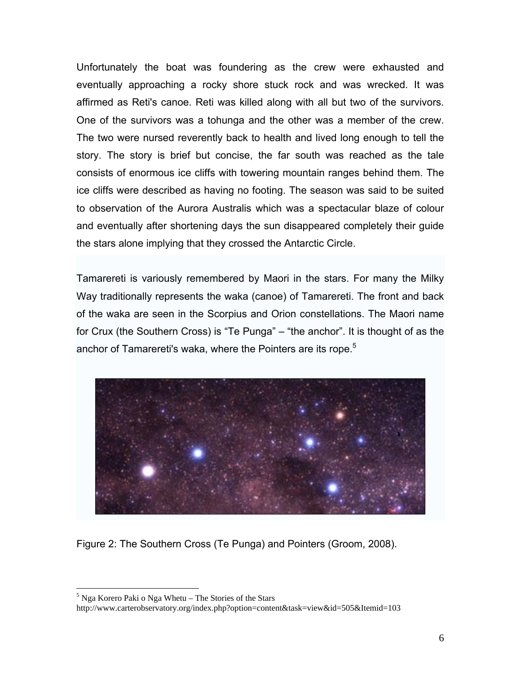Unfortunately the boat was foundering as the crew were exhausted and eventually approaching a rocky shore stuck rock and was wrecked. It was affirmed as Reti's canoe. Reti was killed along with all but two of the survivors. One of the survivors was a tohunga and the other was a member of the crew. The two were nursed reverently back to health and lived long enough to tell the story. The story is brief but concise, the far south was reached as the tale consists of enormous ice cliffs with towering mountain ranges behind them. The ice cliffs were described as having no footing. The season was said to be suited to observation of the Aurora Australis which was a spectacular blaze of colour and eventually after shortening days the sun disappeared completely their guide the stars alone implying that they crossed the Antarctic Circle.

Tamarereti is variously remembered by Maori in the stars. For many the Milky Way traditionally represents the waka (canoe) of Tamarereti. The front and back of the waka are seen in the Scorpius and Orion constellations. The Maori name for Crux (the Southern Cross) is "Te Punga" – "the anchor". It is thought of as the anchor of Tamarereti's waka, where the Pointers are its rope.<sup>5</sup>



Figure 2: The Southern Cross (Te Punga) and Pointers (Groom, 2008).

1

<sup>&</sup>lt;sup>5</sup> Nga Korero Paki o Nga Whetu – The Stories of the Stars

http://www.carterobservatory.org/index.php?option=content&task=view&id=505&Itemid=103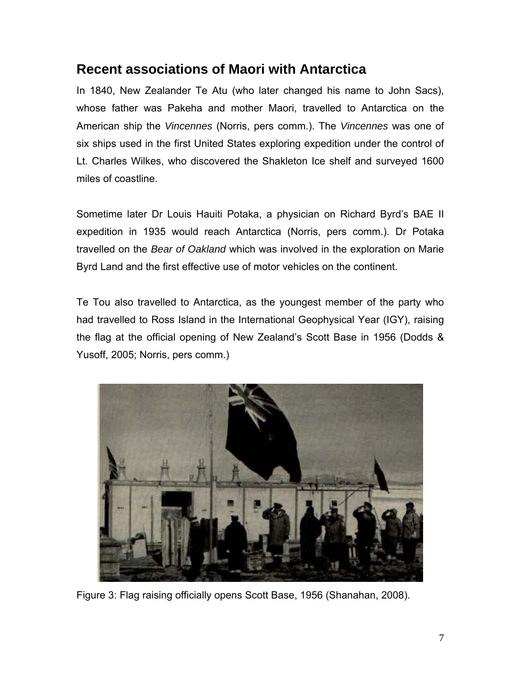## **Recent associations of Maori with Antarctica**

In 1840, New Zealander Te Atu (who later changed his name to John Sacs), whose father was Pakeha and mother Maori, travelled to Antarctica on the American ship the *Vincennes* (Norris, pers comm.). The *Vincennes* was one of six ships used in the first United States exploring expedition under the control of Lt. Charles Wilkes, who discovered the Shakleton Ice shelf and surveyed 1600 miles of coastline.

Sometime later Dr Louis Hauiti Potaka, a physician on Richard Byrd's BAE II expedition in 1935 would reach Antarctica (Norris, pers comm.). Dr Potaka travelled on the *Bear of Oakland* which was involved in the exploration on Marie Byrd Land and the first effective use of motor vehicles on the continent.

Te Tou also travelled to Antarctica, as the youngest member of the party who had travelled to Ross Island in the International Geophysical Year (IGY), raising the flag at the official opening of New Zealand's Scott Base in 1956 (Dodds & Yusoff, 2005; Norris, pers comm.)



Figure 3: Flag raising officially opens Scott Base, 1956 (Shanahan, 2008).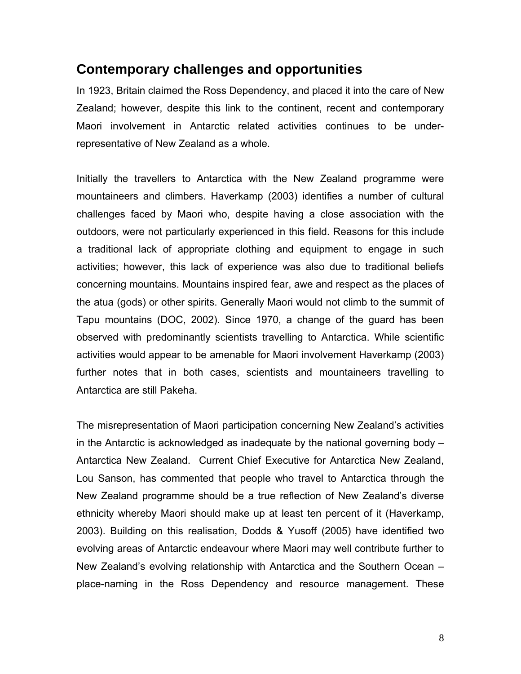## **Contemporary challenges and opportunities**

In 1923, Britain claimed the Ross Dependency, and placed it into the care of New Zealand; however, despite this link to the continent, recent and contemporary Maori involvement in Antarctic related activities continues to be underrepresentative of New Zealand as a whole.

Initially the travellers to Antarctica with the New Zealand programme were mountaineers and climbers. Haverkamp (2003) identifies a number of cultural challenges faced by Maori who, despite having a close association with the outdoors, were not particularly experienced in this field. Reasons for this include a traditional lack of appropriate clothing and equipment to engage in such activities; however, this lack of experience was also due to traditional beliefs concerning mountains. Mountains inspired fear, awe and respect as the places of the atua (gods) or other spirits. Generally Maori would not climb to the summit of Tapu mountains (DOC, 2002). Since 1970, a change of the guard has been observed with predominantly scientists travelling to Antarctica. While scientific activities would appear to be amenable for Maori involvement Haverkamp (2003) further notes that in both cases, scientists and mountaineers travelling to Antarctica are still Pakeha.

The misrepresentation of Maori participation concerning New Zealand's activities in the Antarctic is acknowledged as inadequate by the national governing body – Antarctica New Zealand. Current Chief Executive for Antarctica New Zealand, Lou Sanson, has commented that people who travel to Antarctica through the New Zealand programme should be a true reflection of New Zealand's diverse ethnicity whereby Maori should make up at least ten percent of it (Haverkamp, 2003). Building on this realisation, Dodds & Yusoff (2005) have identified two evolving areas of Antarctic endeavour where Maori may well contribute further to New Zealand's evolving relationship with Antarctica and the Southern Ocean – place-naming in the Ross Dependency and resource management. These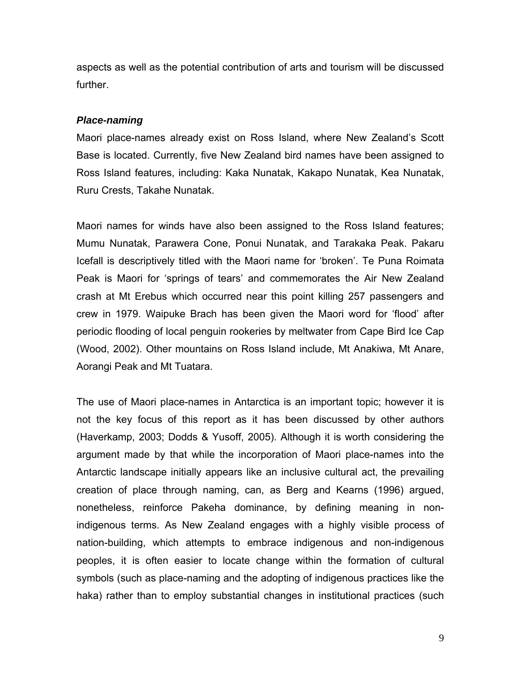aspects as well as the potential contribution of arts and tourism will be discussed further.

#### *Place-naming*

Maori place-names already exist on Ross Island, where New Zealand's Scott Base is located. Currently, five New Zealand bird names have been assigned to Ross Island features, including: Kaka Nunatak, Kakapo Nunatak, Kea Nunatak, Ruru Crests, Takahe Nunatak.

Maori names for winds have also been assigned to the Ross Island features; Mumu Nunatak, Parawera Cone, Ponui Nunatak, and Tarakaka Peak. Pakaru Icefall is descriptively titled with the Maori name for 'broken'. Te Puna Roimata Peak is Maori for 'springs of tears' and commemorates the Air New Zealand crash at Mt Erebus which occurred near this point killing 257 passengers and crew in 1979. Waipuke Brach has been given the Maori word for 'flood' after periodic flooding of local penguin rookeries by meltwater from Cape Bird Ice Cap (Wood, 2002). Other mountains on Ross Island include, Mt Anakiwa, Mt Anare, Aorangi Peak and Mt Tuatara.

The use of Maori place-names in Antarctica is an important topic; however it is not the key focus of this report as it has been discussed by other authors (Haverkamp, 2003; Dodds & Yusoff, 2005). Although it is worth considering the argument made by that while the incorporation of Maori place-names into the Antarctic landscape initially appears like an inclusive cultural act, the prevailing creation of place through naming, can, as Berg and Kearns (1996) argued, nonetheless, reinforce Pakeha dominance, by defining meaning in nonindigenous terms. As New Zealand engages with a highly visible process of nation-building, which attempts to embrace indigenous and non-indigenous peoples, it is often easier to locate change within the formation of cultural symbols (such as place-naming and the adopting of indigenous practices like the haka) rather than to employ substantial changes in institutional practices (such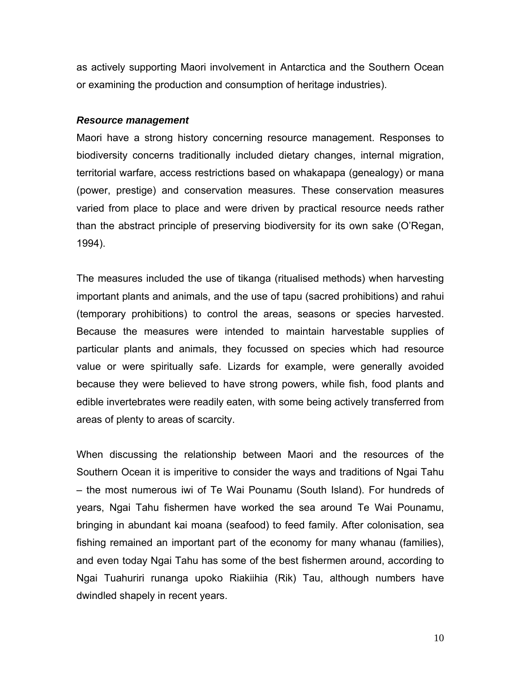as actively supporting Maori involvement in Antarctica and the Southern Ocean or examining the production and consumption of heritage industries).

#### *Resource management*

Maori have a strong history concerning resource management. Responses to biodiversity concerns traditionally included dietary changes, internal migration, territorial warfare, access restrictions based on whakapapa (genealogy) or mana (power, prestige) and conservation measures. These conservation measures varied from place to place and were driven by practical resource needs rather than the abstract principle of preserving biodiversity for its own sake (O'Regan, 1994).

The measures included the use of tikanga (ritualised methods) when harvesting important plants and animals, and the use of tapu (sacred prohibitions) and rahui (temporary prohibitions) to control the areas, seasons or species harvested. Because the measures were intended to maintain harvestable supplies of particular plants and animals, they focussed on species which had resource value or were spiritually safe. Lizards for example, were generally avoided because they were believed to have strong powers, while fish, food plants and edible invertebrates were readily eaten, with some being actively transferred from areas of plenty to areas of scarcity.

When discussing the relationship between Maori and the resources of the Southern Ocean it is imperitive to consider the ways and traditions of Ngai Tahu – the most numerous iwi of Te Wai Pounamu (South Island). For hundreds of years, Ngai Tahu fishermen have worked the sea around Te Wai Pounamu, bringing in abundant kai moana (seafood) to feed family. After colonisation, sea fishing remained an important part of the economy for many whanau (families), and even today Ngai Tahu has some of the best fishermen around, according to Ngai Tuahuriri runanga upoko Riakiihia (Rik) Tau, although numbers have dwindled shapely in recent years.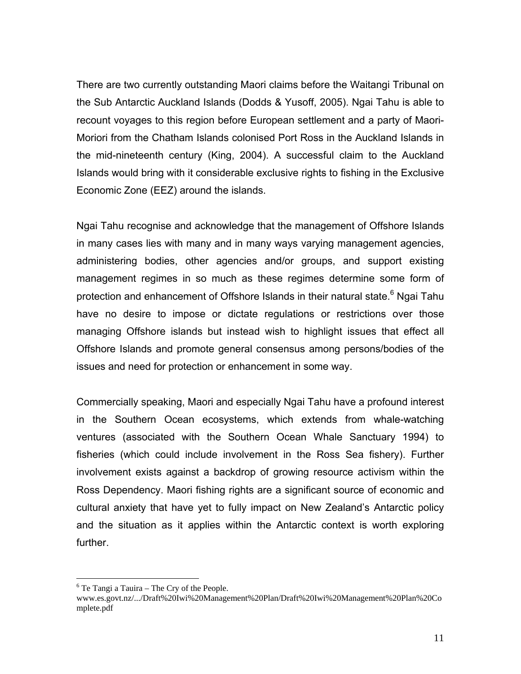There are two currently outstanding Maori claims before the Waitangi Tribunal on the Sub Antarctic Auckland Islands (Dodds & Yusoff, 2005). Ngai Tahu is able to recount voyages to this region before European settlement and a party of Maori-Moriori from the Chatham Islands colonised Port Ross in the Auckland Islands in the mid-nineteenth century (King, 2004). A successful claim to the Auckland Islands would bring with it considerable exclusive rights to fishing in the Exclusive Economic Zone (EEZ) around the islands.

Ngai Tahu recognise and acknowledge that the management of Offshore Islands in many cases lies with many and in many ways varying management agencies, administering bodies, other agencies and/or groups, and support existing management regimes in so much as these regimes determine some form of protection and enhancement of Offshore Islands in their natural state.<sup>6</sup> Ngai Tahu have no desire to impose or dictate regulations or restrictions over those managing Offshore islands but instead wish to highlight issues that effect all Offshore Islands and promote general consensus among persons/bodies of the issues and need for protection or enhancement in some way.

Commercially speaking, Maori and especially Ngai Tahu have a profound interest in the Southern Ocean ecosystems, which extends from whale-watching ventures (associated with the Southern Ocean Whale Sanctuary 1994) to fisheries (which could include involvement in the Ross Sea fishery). Further involvement exists against a backdrop of growing resource activism within the Ross Dependency. Maori fishing rights are a significant source of economic and cultural anxiety that have yet to fully impact on New Zealand's Antarctic policy and the situation as it applies within the Antarctic context is worth exploring further.

 $\overline{a}$ 

 $6$  Te Tangi a Tauira – The Cry of the People.

www.es.govt.nz/.../Draft%20Iwi%20Management%20Plan/Draft%20Iwi%20Management%20Plan%20Co mplete.pdf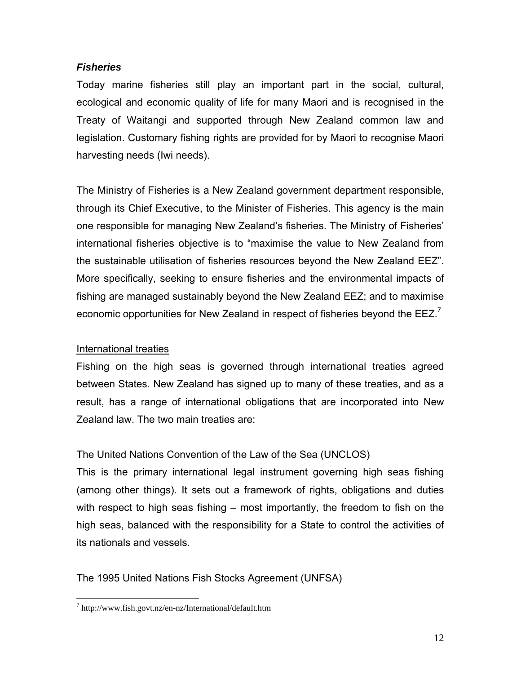#### *Fisheries*

Today marine fisheries still play an important part in the social, cultural, ecological and economic quality of life for many Maori and is recognised in the Treaty of Waitangi and supported through New Zealand common law and legislation. Customary fishing rights are provided for by Maori to recognise Maori harvesting needs (Iwi needs).

The Ministry of Fisheries is a New Zealand government department responsible, through its Chief Executive, to the Minister of Fisheries. This agency is the main one responsible for managing New Zealand's fisheries. The Ministry of Fisheries' international fisheries objective is to "maximise the value to New Zealand from the sustainable utilisation of fisheries resources beyond the New Zealand EEZ". More specifically, seeking to ensure fisheries and the environmental impacts of fishing are managed sustainably beyond the New Zealand EEZ; and to maximise economic opportunities for New Zealand in respect of fisheries beyond the  $EEZ$ <sup>7</sup>

#### International treaties

 $\overline{a}$ 

Fishing on the high seas is governed through international treaties agreed between States. New Zealand has signed up to many of these treaties, and as a result, has a range of international obligations that are incorporated into New Zealand law. The two main treaties are:

#### The United Nations Convention of the Law of the Sea (UNCLOS)

This is the primary international legal instrument governing high seas fishing (among other things). It sets out a framework of rights, obligations and duties with respect to high seas fishing – most importantly, the freedom to fish on the high seas, balanced with the responsibility for a State to control the activities of its nationals and vessels.

## The 1995 United Nations Fish Stocks Agreement (UNFSA)

<sup>7</sup> http://www.fish.govt.nz/en-nz/International/default.htm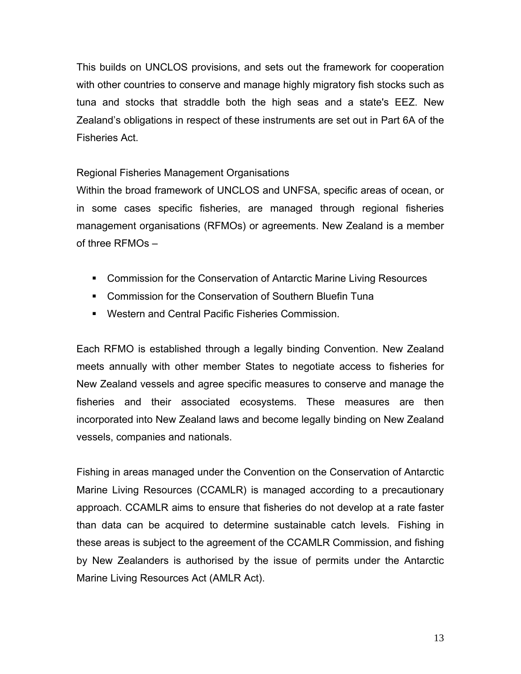This builds on UNCLOS provisions, and sets out the framework for cooperation with other countries to conserve and manage highly migratory fish stocks such as tuna and stocks that straddle both the high seas and a state's EEZ. New Zealand's obligations in respect of these instruments are set out in Part 6A of the Fisheries Act.

#### Regional Fisheries Management Organisations

Within the broad framework of UNCLOS and UNFSA, specific areas of ocean, or in some cases specific fisheries, are managed through regional fisheries management organisations (RFMOs) or agreements. New Zealand is a member of three RFMOs –

- Commission for the Conservation of Antarctic Marine Living Resources
- **EXECOMMISSION for the Conservation of Southern Bluefin Tuna**
- Western and Central Pacific Fisheries Commission.

Each RFMO is established through a legally binding Convention. New Zealand meets annually with other member States to negotiate access to fisheries for New Zealand vessels and agree specific measures to conserve and manage the fisheries and their associated ecosystems. These measures are then incorporated into New Zealand laws and become legally binding on New Zealand vessels, companies and nationals.

Fishing in areas managed under the Convention on the Conservation of Antarctic Marine Living Resources (CCAMLR) is managed according to a precautionary approach. CCAMLR aims to ensure that fisheries do not develop at a rate faster than data can be acquired to determine sustainable catch levels. Fishing in these areas is subject to the agreement of the CCAMLR Commission, and fishing by New Zealanders is authorised by the issue of permits under the Antarctic Marine Living Resources Act (AMLR Act).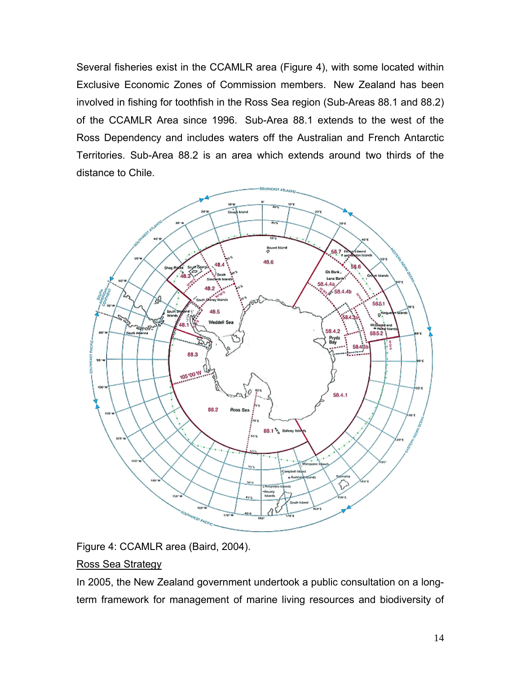Several fisheries exist in the CCAMLR area (Figure 4), with some located within Exclusive Economic Zones of Commission members. New Zealand has been involved in fishing for toothfish in the Ross Sea region (Sub-Areas 88.1 and 88.2) of the CCAMLR Area since 1996. Sub-Area 88.1 extends to the west of the Ross Dependency and includes waters off the Australian and French Antarctic Territories. Sub-Area 88.2 is an area which extends around two thirds of the distance to Chile.



Figure 4: CCAMLR area (Baird, 2004).

## Ross Sea Strategy

In 2005, the New Zealand government undertook a public consultation on a longterm framework for management of marine living resources and biodiversity of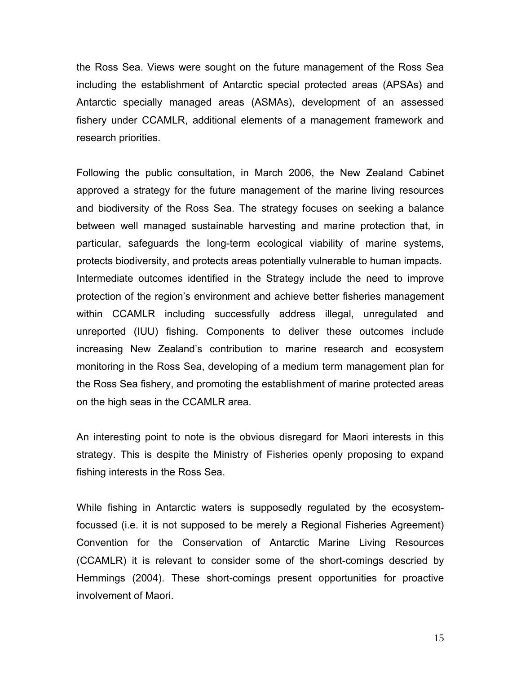the Ross Sea. Views were sought on the future management of the Ross Sea including the establishment of Antarctic special protected areas (APSAs) and Antarctic specially managed areas (ASMAs), development of an assessed fishery under CCAMLR, additional elements of a management framework and research priorities.

Following the public consultation, in March 2006, the New Zealand Cabinet approved a strategy for the future management of the marine living resources and biodiversity of the Ross Sea. The strategy focuses on seeking a balance between well managed sustainable harvesting and marine protection that, in particular, safeguards the long-term ecological viability of marine systems, protects biodiversity, and protects areas potentially vulnerable to human impacts. Intermediate outcomes identified in the Strategy include the need to improve protection of the region's environment and achieve better fisheries management within CCAMLR including successfully address illegal, unregulated and unreported (IUU) fishing. Components to deliver these outcomes include increasing New Zealand's contribution to marine research and ecosystem monitoring in the Ross Sea, developing of a medium term management plan for the Ross Sea fishery, and promoting the establishment of marine protected areas on the high seas in the CCAMLR area.

An interesting point to note is the obvious disregard for Maori interests in this strategy. This is despite the Ministry of Fisheries openly proposing to expand fishing interests in the Ross Sea.

While fishing in Antarctic waters is supposedly regulated by the ecosystemfocussed (i.e. it is not supposed to be merely a Regional Fisheries Agreement) Convention for the Conservation of Antarctic Marine Living Resources (CCAMLR) it is relevant to consider some of the short-comings descried by Hemmings (2004). These short-comings present opportunities for proactive involvement of Maori.

15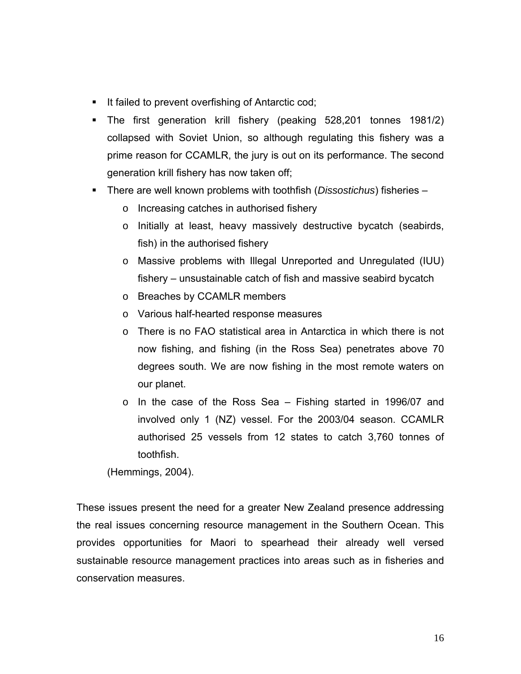- It failed to prevent overfishing of Antarctic cod;
- The first generation krill fishery (peaking 528,201 tonnes 1981/2) collapsed with Soviet Union, so although regulating this fishery was a prime reason for CCAMLR, the jury is out on its performance. The second generation krill fishery has now taken off;
- There are well known problems with toothfish (*Dissostichus*) fisheries
	- o Increasing catches in authorised fishery
	- o Initially at least, heavy massively destructive bycatch (seabirds, fish) in the authorised fishery
	- o Massive problems with Illegal Unreported and Unregulated (IUU) fishery – unsustainable catch of fish and massive seabird bycatch
	- o Breaches by CCAMLR members
	- o Various half-hearted response measures
	- $\circ$  There is no FAO statistical area in Antarctica in which there is not now fishing, and fishing (in the Ross Sea) penetrates above 70 degrees south. We are now fishing in the most remote waters on our planet.
	- o In the case of the Ross Sea Fishing started in 1996/07 and involved only 1 (NZ) vessel. For the 2003/04 season. CCAMLR authorised 25 vessels from 12 states to catch 3,760 tonnes of toothfish.

(Hemmings, 2004).

These issues present the need for a greater New Zealand presence addressing the real issues concerning resource management in the Southern Ocean. This provides opportunities for Maori to spearhead their already well versed sustainable resource management practices into areas such as in fisheries and conservation measures.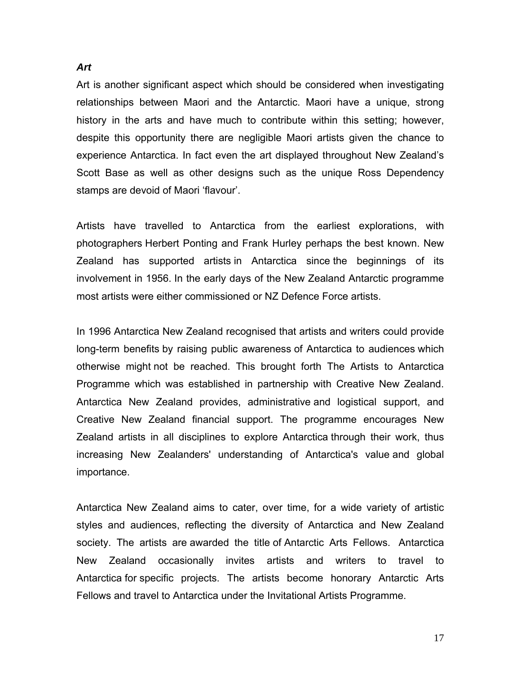Art is another significant aspect which should be considered when investigating relationships between Maori and the Antarctic. Maori have a unique, strong history in the arts and have much to contribute within this setting; however, despite this opportunity there are negligible Maori artists given the chance to experience Antarctica. In fact even the art displayed throughout New Zealand's Scott Base as well as other designs such as the unique Ross Dependency stamps are devoid of Maori 'flavour'.

Artists have travelled to Antarctica from the earliest explorations, with photographers Herbert Ponting and Frank Hurley perhaps the best known. New Zealand has supported artists in Antarctica since the beginnings of its involvement in 1956. In the early days of the New Zealand Antarctic programme most artists were either commissioned or NZ Defence Force artists.

In 1996 Antarctica New Zealand recognised that artists and writers could provide long-term benefits by raising public awareness of Antarctica to audiences which otherwise might not be reached. This brought forth The Artists to Antarctica Programme which was established in partnership with Creative New Zealand. Antarctica New Zealand provides, administrative and logistical support, and Creative New Zealand financial support. The programme encourages New Zealand artists in all disciplines to explore Antarctica through their work, thus increasing New Zealanders' understanding of Antarctica's value and global importance.

Antarctica New Zealand aims to cater, over time, for a wide variety of artistic styles and audiences, reflecting the diversity of Antarctica and New Zealand society. The artists are awarded the title of Antarctic Arts Fellows. Antarctica New Zealand occasionally invites artists and writers to travel to Antarctica for specific projects. The artists become honorary Antarctic Arts Fellows and travel to Antarctica under the Invitational Artists Programme.

#### *Art*

17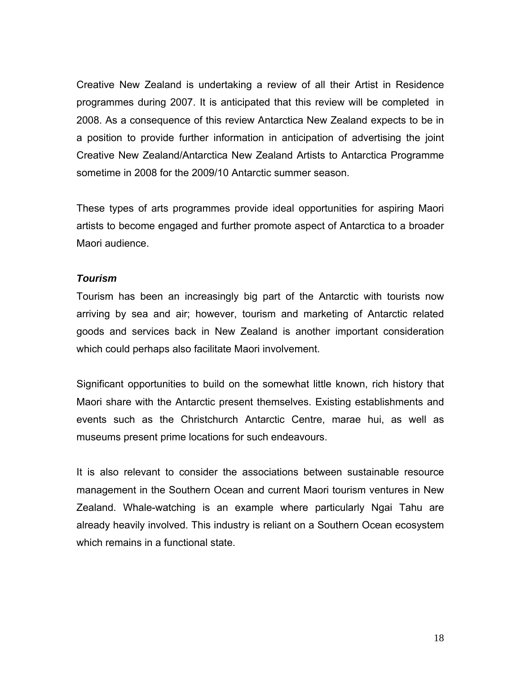Creative New Zealand is undertaking a review of all their Artist in Residence programmes during 2007. It is anticipated that this review will be completed in 2008. As a consequence of this review Antarctica New Zealand expects to be in a position to provide further information in anticipation of advertising the joint Creative New Zealand/Antarctica New Zealand Artists to Antarctica Programme sometime in 2008 for the 2009/10 Antarctic summer season.

These types of arts programmes provide ideal opportunities for aspiring Maori artists to become engaged and further promote aspect of Antarctica to a broader Maori audience.

#### *Tourism*

Tourism has been an increasingly big part of the Antarctic with tourists now arriving by sea and air; however, tourism and marketing of Antarctic related goods and services back in New Zealand is another important consideration which could perhaps also facilitate Maori involvement.

Significant opportunities to build on the somewhat little known, rich history that Maori share with the Antarctic present themselves. Existing establishments and events such as the Christchurch Antarctic Centre, marae hui, as well as museums present prime locations for such endeavours.

It is also relevant to consider the associations between sustainable resource management in the Southern Ocean and current Maori tourism ventures in New Zealand. Whale-watching is an example where particularly Ngai Tahu are already heavily involved. This industry is reliant on a Southern Ocean ecosystem which remains in a functional state.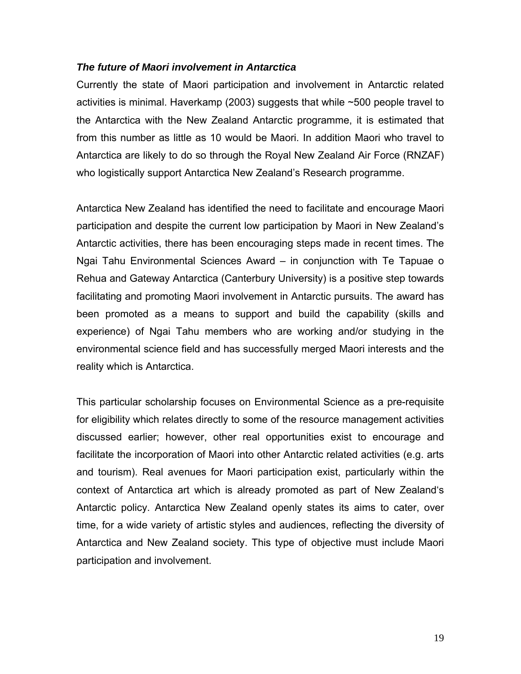#### *The future of Maori involvement in Antarctica*

Currently the state of Maori participation and involvement in Antarctic related activities is minimal. Haverkamp (2003) suggests that while ~500 people travel to the Antarctica with the New Zealand Antarctic programme, it is estimated that from this number as little as 10 would be Maori. In addition Maori who travel to Antarctica are likely to do so through the Royal New Zealand Air Force (RNZAF) who logistically support Antarctica New Zealand's Research programme.

Antarctica New Zealand has identified the need to facilitate and encourage Maori participation and despite the current low participation by Maori in New Zealand's Antarctic activities, there has been encouraging steps made in recent times. The Ngai Tahu Environmental Sciences Award – in conjunction with Te Tapuae o Rehua and Gateway Antarctica (Canterbury University) is a positive step towards facilitating and promoting Maori involvement in Antarctic pursuits. The award has been promoted as a means to support and build the capability (skills and experience) of Ngai Tahu members who are working and/or studying in the environmental science field and has successfully merged Maori interests and the reality which is Antarctica.

This particular scholarship focuses on Environmental Science as a pre-requisite for eligibility which relates directly to some of the resource management activities discussed earlier; however, other real opportunities exist to encourage and facilitate the incorporation of Maori into other Antarctic related activities (e.g. arts and tourism). Real avenues for Maori participation exist, particularly within the context of Antarctica art which is already promoted as part of New Zealand's Antarctic policy. Antarctica New Zealand openly states its aims to cater, over time, for a wide variety of artistic styles and audiences, reflecting the diversity of Antarctica and New Zealand society. This type of objective must include Maori participation and involvement.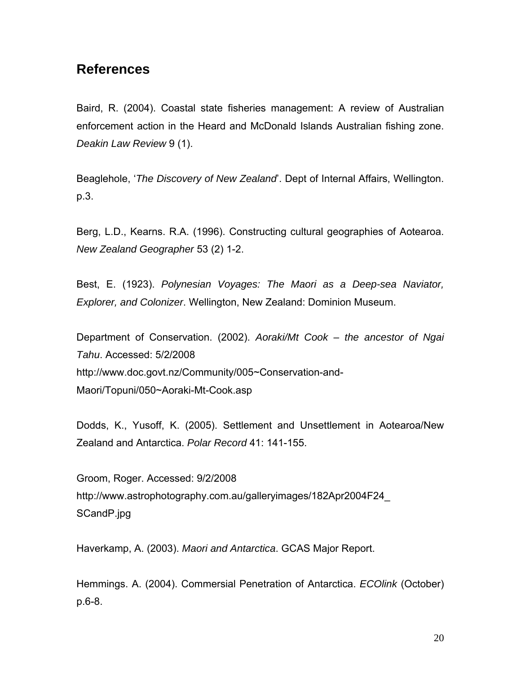## **References**

Baird, R. (2004). Coastal state fisheries management: A review of Australian enforcement action in the Heard and McDonald Islands Australian fishing zone. *Deakin Law Review* 9 (1).

Beaglehole, '*The Discovery of New Zealand*'. Dept of Internal Affairs, Wellington. p.3.

Berg, L.D., Kearns. R.A. (1996). Constructing cultural geographies of Aotearoa. *New Zealand Geographer* 53 (2) 1-2.

Best, E. (1923). *Polynesian Voyages: The Maori as a Deep-sea Naviator, Explorer, and Colonizer*. Wellington, New Zealand: Dominion Museum.

Department of Conservation. (2002). *Aoraki/Mt Cook – the ancestor of Ngai Tahu*. Accessed: 5/2/2008 http://www.doc.govt.nz/Community/005~Conservation-and-Maori/Topuni/050~Aoraki-Mt-Cook.asp

Dodds, K., Yusoff, K. (2005). Settlement and Unsettlement in Aotearoa/New Zealand and Antarctica. *Polar Record* 41: 141-155.

Groom, Roger. Accessed: 9/2/2008 http://www.astrophotography.com.au/galleryimages/182Apr2004F24\_ SCandP.jpg

Haverkamp, A. (2003). *Maori and Antarctica*. GCAS Major Report.

Hemmings. A. (2004). Commersial Penetration of Antarctica. *ECOlink* (October) p.6-8.